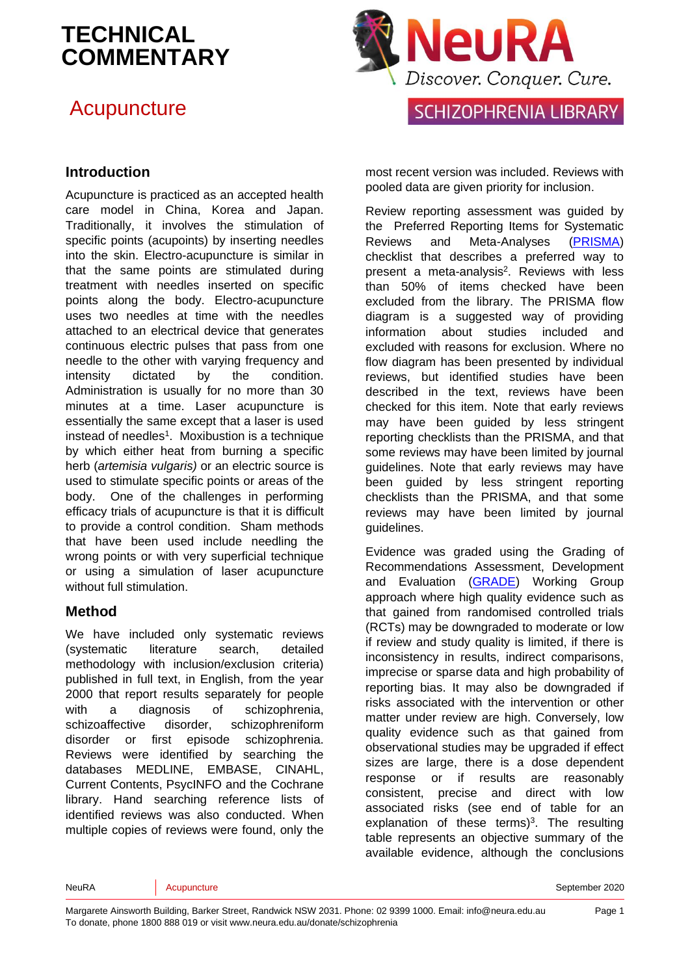## **Acupuncture**



#### **Introduction**

Acupuncture is practiced as an accepted health care model in China, Korea and Japan. Traditionally, it involves the stimulation of specific points (acupoints) by inserting needles into the skin. Electro-acupuncture is similar in that the same points are stimulated during treatment with needles inserted on specific points along the body. Electro-acupuncture uses two needles at time with the needles attached to an electrical device that generates continuous electric pulses that pass from one needle to the other with varying frequency and intensity dictated by the condition. Administration is usually for no more than 30 minutes at a time. Laser acupuncture is essentially the same except that a laser is used instead of needles<sup>[1](#page-10-0)</sup>. Moxibustion is a technique by which either heat from burning a specific herb (*artemisia vulgaris)* or an electric source is used to stimulate specific points or areas of the body. One of the challenges in performing efficacy trials of acupuncture is that it is difficult to provide a control condition. Sham methods that have been used include needling the wrong points or with very superficial technique or using a simulation of laser acupuncture without full stimulation.

#### **Method**

We have included only systematic reviews (systematic literature search, detailed methodology with inclusion/exclusion criteria) published in full text, in English, from the year 2000 that report results separately for people with a diagnosis of schizophrenia, schizoaffective disorder, schizophreniform disorder or first episode schizophrenia. Reviews were identified by searching the databases MEDLINE, EMBASE, CINAHL, Current Contents, PsycINFO and the Cochrane library. Hand searching reference lists of identified reviews was also conducted. When multiple copies of reviews were found, only the most recent version was included. Reviews with pooled data are given priority for inclusion.

Review reporting assessment was guided by the Preferred Reporting Items for Systematic Reviews and Meta-Analyses [\(PRISMA\)](http://www.prisma-statement.org/) checklist that describes a preferred way to present a meta-analysis<sup>2</sup>[.](#page-10-1) Reviews with less than 50% of items checked have been excluded from the library. The PRISMA flow diagram is a suggested way of providing information about studies included and excluded with reasons for exclusion. Where no flow diagram has been presented by individual reviews, but identified studies have been described in the text, reviews have been checked for this item. Note that early reviews may have been guided by less stringent reporting checklists than the PRISMA, and that some reviews may have been limited by journal guidelines. Note that early reviews may have been guided by less stringent reporting checklists than the PRISMA, and that some reviews may have been limited by journal guidelines.

Evidence was graded using the Grading of Recommendations Assessment, Development and Evaluation [\(GRADE\)](http://www.gradeworkinggroup.org/) Working Group approach where high quality evidence such as that gained from randomised controlled trials (RCTs) may be downgraded to moderate or low if review and study quality is limited, if there is inconsistency in results, indirect comparisons, imprecise or sparse data and high probability of reporting bias. It may also be downgraded if risks associated with the intervention or other matter under review are high. Conversely, low quality evidence such as that gained from observational studies may be upgraded if effect sizes are large, there is a dose dependent response or if results are reasonably consistent, precise and direct with low associated risks (see end of table for an explanation of these terms[\)](#page-10-2)<sup>3</sup>. The resulting table represents an objective summary of the available evidence, although the conclusions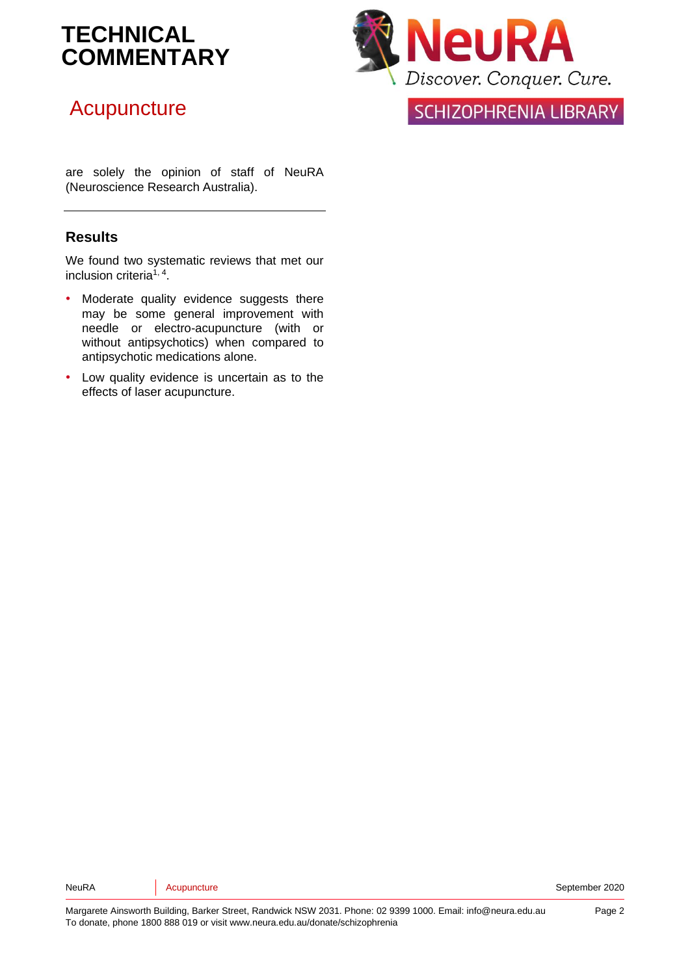## **Acupuncture**

**VeuRA** Discover. Conquer. Cure.

**SCHIZOPHRENIA LIBRARY** 

are solely the opinion of staff of NeuRA (Neuroscience Research Australia).

#### **Results**

We found two systematic reviews that met our inclusion criteria<sup>[1,](#page-10-0) [4](#page-10-3)</sup>.

- Moderate quality evidence suggests there may be some general improvement with needle or electro-acupuncture (with or without antipsychotics) when compared to antipsychotic medications alone.
- Low quality evidence is uncertain as to the effects of laser acupuncture.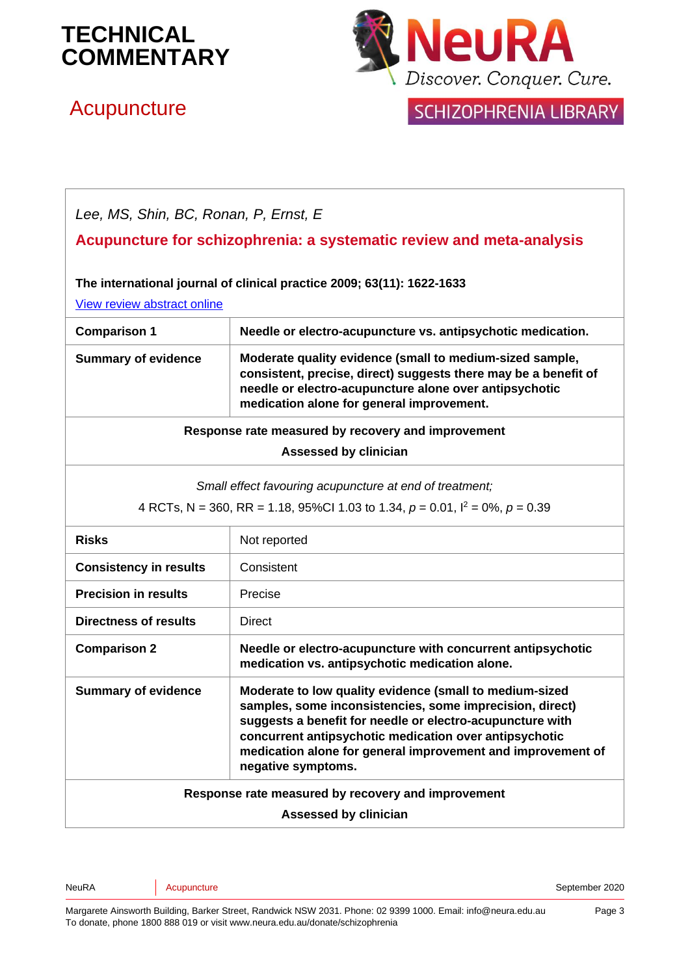# **Acupuncture**



### **SCHIZOPHRENIA LIBRARY**

*Lee, MS, Shin, BC, Ronan, P, Ernst, E*

#### **Acupuncture for schizophrenia: a systematic review and meta-analysis**

#### **The international journal of clinical practice 2009; 63(11): 1622-1633**

[View review abstract online](http://www.ncbi.nlm.nih.gov/pubmed/19832819)

| <b>Comparison 1</b>                                                                                                                              | Needle or electro-acupuncture vs. antipsychotic medication.                                                                                                                                                                        |  |
|--------------------------------------------------------------------------------------------------------------------------------------------------|------------------------------------------------------------------------------------------------------------------------------------------------------------------------------------------------------------------------------------|--|
| <b>Summary of evidence</b>                                                                                                                       | Moderate quality evidence (small to medium-sized sample,<br>consistent, precise, direct) suggests there may be a benefit of<br>needle or electro-acupuncture alone over antipsychotic<br>medication alone for general improvement. |  |
| Response rate measured by recovery and improvement                                                                                               |                                                                                                                                                                                                                                    |  |
| Assessed by clinician                                                                                                                            |                                                                                                                                                                                                                                    |  |
| Small effect favouring acupuncture at end of treatment;<br>4 RCTs, N = 360, RR = 1.18, 95%Cl 1.03 to 1.34, $p = 0.01$ , $l^2 = 0\%$ , $p = 0.39$ |                                                                                                                                                                                                                                    |  |
| <b>Risks</b>                                                                                                                                     | Not reported                                                                                                                                                                                                                       |  |
| <b>Consistency in results</b>                                                                                                                    | Consistent                                                                                                                                                                                                                         |  |
| <b>Precision in results</b>                                                                                                                      | Precise                                                                                                                                                                                                                            |  |
| Directness of results                                                                                                                            | Direct                                                                                                                                                                                                                             |  |

**Comparison 2 Needle or electro-acupuncture with concurrent antipsychotic medication vs. antipsychotic medication alone. Summary of evidence Moderate to low quality evidence (small to medium-sized samples, some inconsistencies, some imprecision, direct)** 

**suggests a benefit for needle or electro-acupuncture with concurrent antipsychotic medication over antipsychotic medication alone for general improvement and improvement of negative symptoms.**

**Response rate measured by recovery and improvement** 

**Assessed by clinician**

Neupuncture September 2020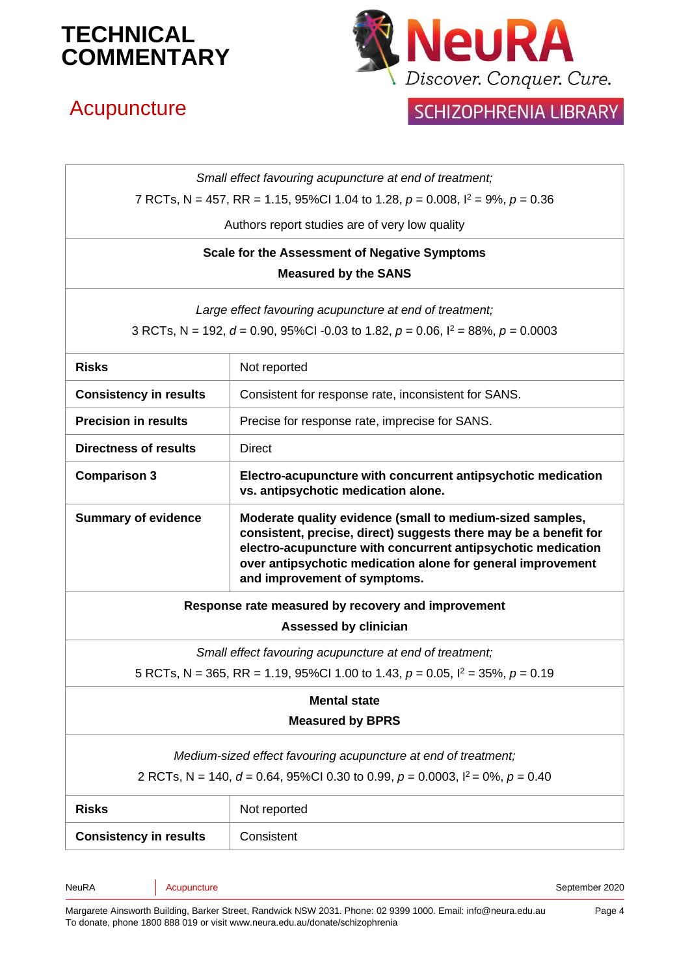## Acupuncture



## SCHIZOPHRENIA LIBRARY

| Small effect favouring acupuncture at end of treatment;                                    |                                                                                                                                                                                                                                                                                              |  |  |
|--------------------------------------------------------------------------------------------|----------------------------------------------------------------------------------------------------------------------------------------------------------------------------------------------------------------------------------------------------------------------------------------------|--|--|
| 7 RCTs, N = 457, RR = 1.15, 95%Cl 1.04 to 1.28, $p = 0.008$ , $l^2 = 9\%$ , $p = 0.36$     |                                                                                                                                                                                                                                                                                              |  |  |
| Authors report studies are of very low quality                                             |                                                                                                                                                                                                                                                                                              |  |  |
| <b>Scale for the Assessment of Negative Symptoms</b>                                       |                                                                                                                                                                                                                                                                                              |  |  |
| <b>Measured by the SANS</b>                                                                |                                                                                                                                                                                                                                                                                              |  |  |
|                                                                                            | Large effect favouring acupuncture at end of treatment;                                                                                                                                                                                                                                      |  |  |
| 3 RCTs, N = 192, $d = 0.90$ , 95%Cl -0.03 to 1.82, $p = 0.06$ , $l^2 = 88$ %, $p = 0.0003$ |                                                                                                                                                                                                                                                                                              |  |  |
| <b>Risks</b>                                                                               | Not reported                                                                                                                                                                                                                                                                                 |  |  |
| <b>Consistency in results</b>                                                              | Consistent for response rate, inconsistent for SANS.                                                                                                                                                                                                                                         |  |  |
| <b>Precision in results</b>                                                                | Precise for response rate, imprecise for SANS.                                                                                                                                                                                                                                               |  |  |
| <b>Directness of results</b>                                                               | <b>Direct</b>                                                                                                                                                                                                                                                                                |  |  |
| <b>Comparison 3</b>                                                                        | Electro-acupuncture with concurrent antipsychotic medication<br>vs. antipsychotic medication alone.                                                                                                                                                                                          |  |  |
| <b>Summary of evidence</b>                                                                 | Moderate quality evidence (small to medium-sized samples,<br>consistent, precise, direct) suggests there may be a benefit for<br>electro-acupuncture with concurrent antipsychotic medication<br>over antipsychotic medication alone for general improvement<br>and improvement of symptoms. |  |  |
|                                                                                            | Response rate measured by recovery and improvement                                                                                                                                                                                                                                           |  |  |
|                                                                                            | <b>Assessed by clinician</b>                                                                                                                                                                                                                                                                 |  |  |
|                                                                                            | Small effect favouring acupuncture at end of treatment;                                                                                                                                                                                                                                      |  |  |
|                                                                                            | 5 RCTs, N = 365, RR = 1.19, 95%Cl 1.00 to 1.43, $p = 0.05$ , $l^2 = 35$ %, $p = 0.19$                                                                                                                                                                                                        |  |  |
| <b>Mental state</b>                                                                        |                                                                                                                                                                                                                                                                                              |  |  |
| <b>Measured by BPRS</b>                                                                    |                                                                                                                                                                                                                                                                                              |  |  |
| Medium-sized effect favouring acupuncture at end of treatment;                             |                                                                                                                                                                                                                                                                                              |  |  |
| 2 RCTs, N = 140, $d = 0.64$ , 95%Cl 0.30 to 0.99, $p = 0.0003$ , $l^2 = 0$ %, $p = 0.40$   |                                                                                                                                                                                                                                                                                              |  |  |
| <b>Risks</b>                                                                               | Not reported                                                                                                                                                                                                                                                                                 |  |  |
| <b>Consistency in results</b>                                                              | Consistent                                                                                                                                                                                                                                                                                   |  |  |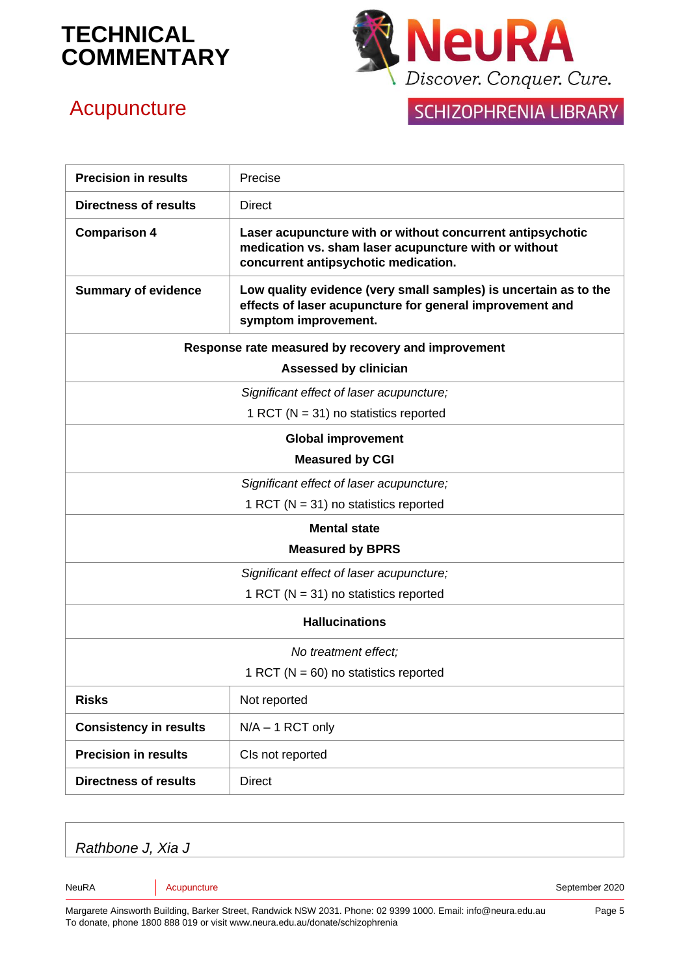

## **Acupuncture**

## SCHIZOPHRENIA LIBRARY

| <b>Precision in results</b>                        | Precise                                                                                                                                                     |  |
|----------------------------------------------------|-------------------------------------------------------------------------------------------------------------------------------------------------------------|--|
| <b>Directness of results</b>                       | <b>Direct</b>                                                                                                                                               |  |
| <b>Comparison 4</b>                                | Laser acupuncture with or without concurrent antipsychotic<br>medication vs. sham laser acupuncture with or without<br>concurrent antipsychotic medication. |  |
| <b>Summary of evidence</b>                         | Low quality evidence (very small samples) is uncertain as to the<br>effects of laser acupuncture for general improvement and<br>symptom improvement.        |  |
| Response rate measured by recovery and improvement |                                                                                                                                                             |  |
| <b>Assessed by clinician</b>                       |                                                                                                                                                             |  |
| Significant effect of laser acupuncture;           |                                                                                                                                                             |  |
| 1 RCT ( $N = 31$ ) no statistics reported          |                                                                                                                                                             |  |
| <b>Global improvement</b>                          |                                                                                                                                                             |  |
| <b>Measured by CGI</b>                             |                                                                                                                                                             |  |
| Significant effect of laser acupuncture;           |                                                                                                                                                             |  |
|                                                    | 1 RCT ( $N = 31$ ) no statistics reported                                                                                                                   |  |
|                                                    | <b>Mental state</b>                                                                                                                                         |  |
|                                                    | <b>Measured by BPRS</b>                                                                                                                                     |  |
| Significant effect of laser acupuncture;           |                                                                                                                                                             |  |
|                                                    | 1 RCT ( $N = 31$ ) no statistics reported                                                                                                                   |  |
| <b>Hallucinations</b>                              |                                                                                                                                                             |  |
| No treatment effect;                               |                                                                                                                                                             |  |
|                                                    | 1 RCT ( $N = 60$ ) no statistics reported                                                                                                                   |  |
| <b>Risks</b>                                       | Not reported                                                                                                                                                |  |
| <b>Consistency in results</b>                      | $N/A - 1$ RCT only                                                                                                                                          |  |
| <b>Precision in results</b>                        | CIs not reported                                                                                                                                            |  |
| <b>Directness of results</b>                       | <b>Direct</b>                                                                                                                                               |  |

*Rathbone J, Xia J*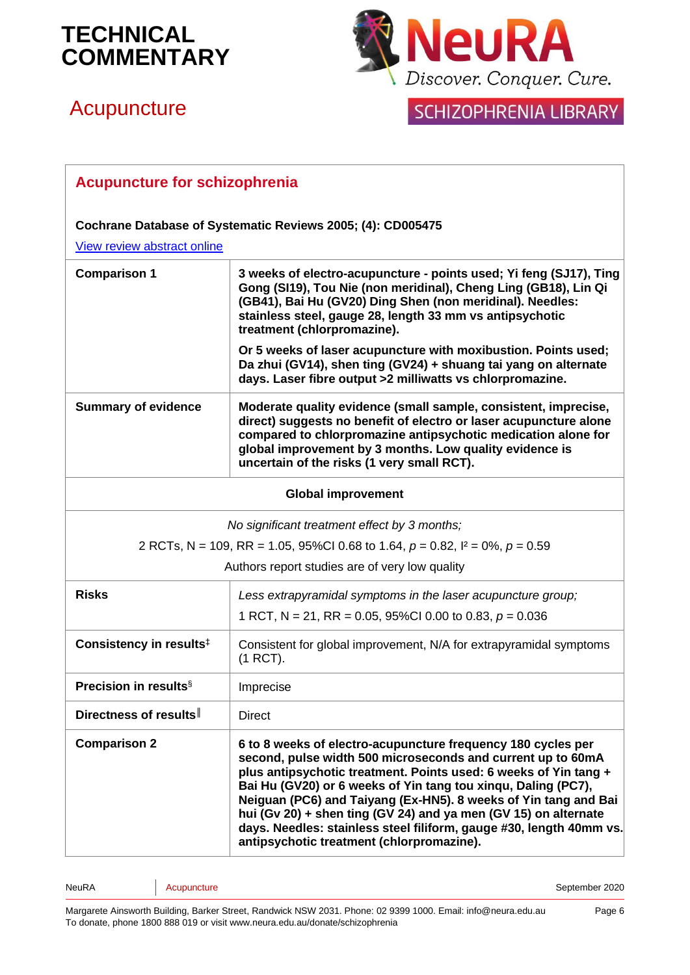# **Acupuncture**



## SCHIZOPHRENIA LIBRARY

| <b>Acupuncture for schizophrenia</b>                        |                                                                                                                                                                                                                                                                                                                                                                                                                                                                                                                            |  |
|-------------------------------------------------------------|----------------------------------------------------------------------------------------------------------------------------------------------------------------------------------------------------------------------------------------------------------------------------------------------------------------------------------------------------------------------------------------------------------------------------------------------------------------------------------------------------------------------------|--|
| Cochrane Database of Systematic Reviews 2005; (4): CD005475 |                                                                                                                                                                                                                                                                                                                                                                                                                                                                                                                            |  |
| View review abstract online                                 |                                                                                                                                                                                                                                                                                                                                                                                                                                                                                                                            |  |
| <b>Comparison 1</b>                                         | 3 weeks of electro-acupuncture - points used; Yi feng (SJ17), Ting<br>Gong (SI19), Tou Nie (non meridinal), Cheng Ling (GB18), Lin Qi<br>(GB41), Bai Hu (GV20) Ding Shen (non meridinal). Needles:<br>stainless steel, gauge 28, length 33 mm vs antipsychotic<br>treatment (chlorpromazine).<br>Or 5 weeks of laser acupuncture with moxibustion. Points used;                                                                                                                                                            |  |
|                                                             | Da zhui (GV14), shen ting (GV24) + shuang tai yang on alternate<br>days. Laser fibre output >2 milliwatts vs chlorpromazine.                                                                                                                                                                                                                                                                                                                                                                                               |  |
| <b>Summary of evidence</b>                                  | Moderate quality evidence (small sample, consistent, imprecise,<br>direct) suggests no benefit of electro or laser acupuncture alone<br>compared to chlorpromazine antipsychotic medication alone for<br>global improvement by 3 months. Low quality evidence is<br>uncertain of the risks (1 very small RCT).                                                                                                                                                                                                             |  |
|                                                             | <b>Global improvement</b>                                                                                                                                                                                                                                                                                                                                                                                                                                                                                                  |  |
|                                                             | No significant treatment effect by 3 months;                                                                                                                                                                                                                                                                                                                                                                                                                                                                               |  |
|                                                             | 2 RCTs, N = 109, RR = 1.05, 95%Cl 0.68 to 1.64, $p = 0.82$ , $l^2 = 0$ %, $p = 0.59$                                                                                                                                                                                                                                                                                                                                                                                                                                       |  |
|                                                             | Authors report studies are of very low quality                                                                                                                                                                                                                                                                                                                                                                                                                                                                             |  |
| <b>Risks</b>                                                | Less extrapyramidal symptoms in the laser acupuncture group;                                                                                                                                                                                                                                                                                                                                                                                                                                                               |  |
|                                                             | 1 RCT, N = 21, RR = 0.05, 95%CI 0.00 to 0.83, $p = 0.036$                                                                                                                                                                                                                                                                                                                                                                                                                                                                  |  |
| Consistency in results <sup>‡</sup>                         | Consistent for global improvement, N/A for extrapyramidal symptoms<br>(1 RCT).                                                                                                                                                                                                                                                                                                                                                                                                                                             |  |
| Precision in results <sup>§</sup>                           | Imprecise                                                                                                                                                                                                                                                                                                                                                                                                                                                                                                                  |  |
| Directness of results                                       | <b>Direct</b>                                                                                                                                                                                                                                                                                                                                                                                                                                                                                                              |  |
| <b>Comparison 2</b>                                         | 6 to 8 weeks of electro-acupuncture frequency 180 cycles per<br>second, pulse width 500 microseconds and current up to 60mA<br>plus antipsychotic treatment. Points used: 6 weeks of Yin tang +<br>Bai Hu (GV20) or 6 weeks of Yin tang tou xinqu, Daling (PC7),<br>Neiguan (PC6) and Taiyang (Ex-HN5). 8 weeks of Yin tang and Bai<br>hui (Gv 20) + shen ting (GV 24) and ya men (GV 15) on alternate<br>days. Needles: stainless steel filiform, gauge #30, length 40mm vs.<br>antipsychotic treatment (chlorpromazine). |  |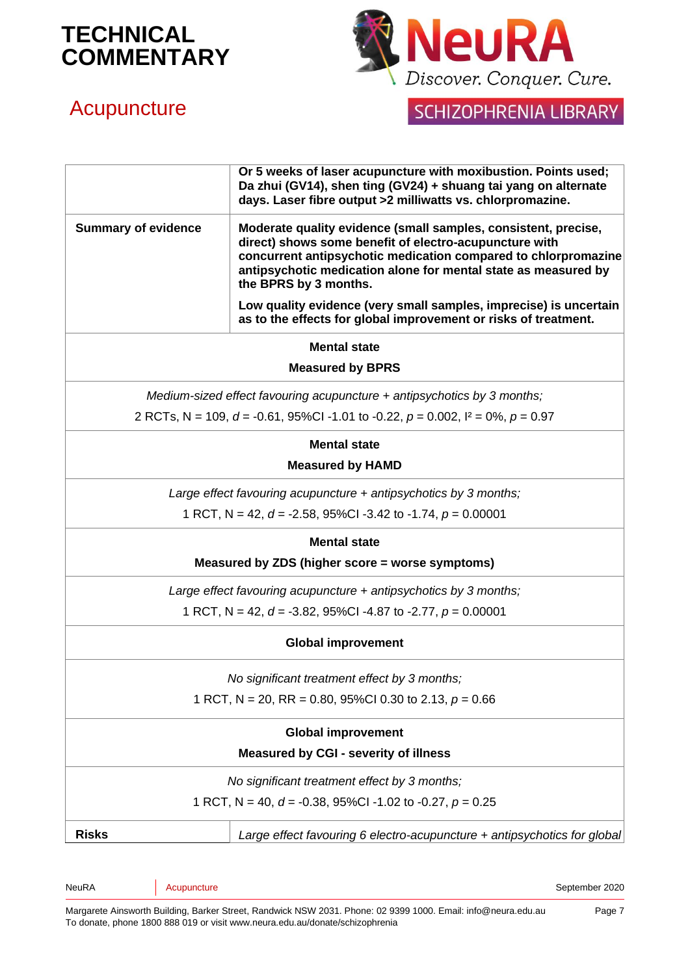

## **Acupuncture**

## SCHIZOPHRENIA LIBRARY

|                                                                                     | Or 5 weeks of laser acupuncture with moxibustion. Points used;<br>Da zhui (GV14), shen ting (GV24) + shuang tai yang on alternate<br>days. Laser fibre output >2 milliwatts vs. chlorpromazine.                                                                                       |  |  |
|-------------------------------------------------------------------------------------|---------------------------------------------------------------------------------------------------------------------------------------------------------------------------------------------------------------------------------------------------------------------------------------|--|--|
| <b>Summary of evidence</b>                                                          | Moderate quality evidence (small samples, consistent, precise,<br>direct) shows some benefit of electro-acupuncture with<br>concurrent antipsychotic medication compared to chlorpromazine<br>antipsychotic medication alone for mental state as measured by<br>the BPRS by 3 months. |  |  |
|                                                                                     | Low quality evidence (very small samples, imprecise) is uncertain<br>as to the effects for global improvement or risks of treatment.                                                                                                                                                  |  |  |
| <b>Mental state</b>                                                                 |                                                                                                                                                                                                                                                                                       |  |  |
|                                                                                     | <b>Measured by BPRS</b>                                                                                                                                                                                                                                                               |  |  |
| Medium-sized effect favouring acupuncture $+$ antipsychotics by 3 months;           |                                                                                                                                                                                                                                                                                       |  |  |
| 2 RCTs, N = 109, d = -0.61, 95%Cl -1.01 to -0.22, p = 0.002, $I^2 = 0\%$ , p = 0.97 |                                                                                                                                                                                                                                                                                       |  |  |
| <b>Mental state</b>                                                                 |                                                                                                                                                                                                                                                                                       |  |  |
| <b>Measured by HAMD</b>                                                             |                                                                                                                                                                                                                                                                                       |  |  |
| Large effect favouring acupuncture $+$ antipsychotics by 3 months;                  |                                                                                                                                                                                                                                                                                       |  |  |
|                                                                                     | 1 RCT, N = 42, $d = -2.58$ , 95%Cl -3.42 to -1.74, $p = 0.00001$                                                                                                                                                                                                                      |  |  |
|                                                                                     | <b>Mental state</b>                                                                                                                                                                                                                                                                   |  |  |
|                                                                                     | Measured by ZDS (higher score = worse symptoms)                                                                                                                                                                                                                                       |  |  |
|                                                                                     | Large effect favouring acupuncture $+$ antipsychotics by 3 months;                                                                                                                                                                                                                    |  |  |
|                                                                                     | 1 RCT, N = 42, $d = -3.82$ , 95%Cl -4.87 to -2.77, $p = 0.00001$                                                                                                                                                                                                                      |  |  |
| <b>Global improvement</b>                                                           |                                                                                                                                                                                                                                                                                       |  |  |
| No significant treatment effect by 3 months;                                        |                                                                                                                                                                                                                                                                                       |  |  |
| 1 RCT, N = 20, RR = 0.80, 95%CI 0.30 to 2.13, $p = 0.66$                            |                                                                                                                                                                                                                                                                                       |  |  |
| <b>Global improvement</b>                                                           |                                                                                                                                                                                                                                                                                       |  |  |
| <b>Measured by CGI - severity of illness</b>                                        |                                                                                                                                                                                                                                                                                       |  |  |
| No significant treatment effect by 3 months;                                        |                                                                                                                                                                                                                                                                                       |  |  |
| 1 RCT, N = 40, $d = -0.38$ , 95%Cl -1.02 to -0.27, $p = 0.25$                       |                                                                                                                                                                                                                                                                                       |  |  |
| <b>Risks</b>                                                                        | Large effect favouring 6 electro-acupuncture + antipsychotics for global                                                                                                                                                                                                              |  |  |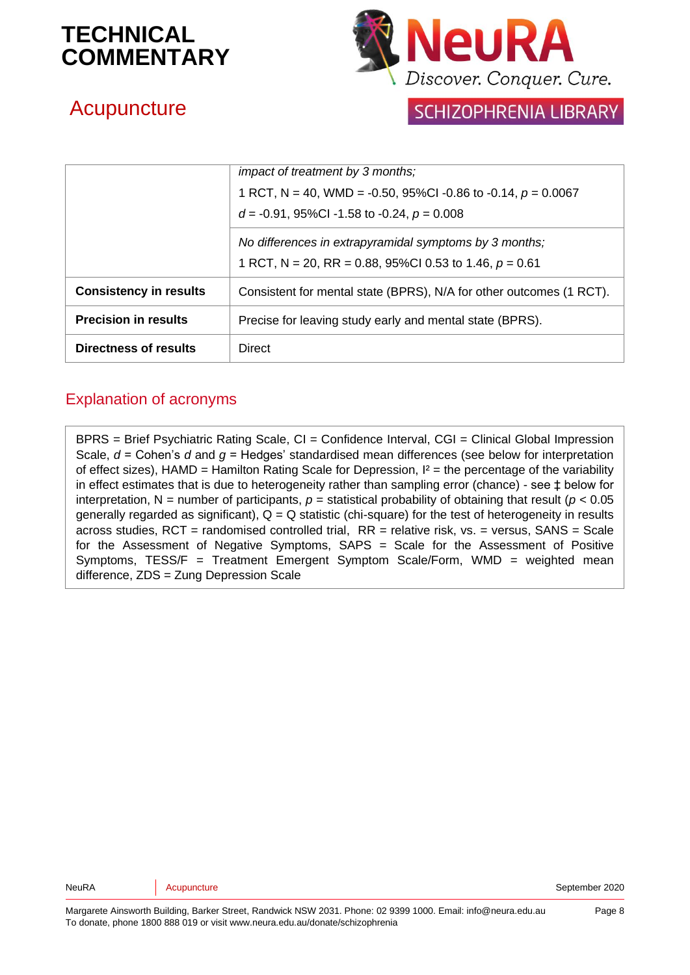

## **Acupuncture**

### **SCHIZOPHRENIA LIBRARY**

|                               | <i>impact of treatment by 3 months;</i>                             |
|-------------------------------|---------------------------------------------------------------------|
|                               | 1 RCT, N = 40, WMD = -0.50, 95%CI -0.86 to -0.14, $p = 0.0067$      |
|                               | $d = -0.91$ , 95%Cl -1.58 to -0.24, $p = 0.008$                     |
|                               | No differences in extrapyramidal symptoms by 3 months;              |
|                               | 1 RCT, N = 20, RR = 0.88, 95%CI 0.53 to 1.46, $p = 0.61$            |
| <b>Consistency in results</b> | Consistent for mental state (BPRS), N/A for other outcomes (1 RCT). |
| <b>Precision in results</b>   | Precise for leaving study early and mental state (BPRS).            |
| Directness of results         | <b>Direct</b>                                                       |

#### Explanation of acronyms

BPRS = Brief Psychiatric Rating Scale, CI = Confidence Interval, CGI = Clinical Global Impression Scale, *d* = Cohen's *d* and *g* = Hedges' standardised mean differences (see below for interpretation of effect sizes), HAMD = Hamilton Rating Scale for Depression,  $I^2$  = the percentage of the variability in effect estimates that is due to heterogeneity rather than sampling error (chance) - see ‡ below for interpretation, N = number of participants,  $p =$  statistical probability of obtaining that result ( $p < 0.05$ ) generally regarded as significant),  $Q = Q$  statistic (chi-square) for the test of heterogeneity in results across studies,  $RCT =$  randomised controlled trial,  $RR =$  relative risk, vs. = versus,  $SANS = Scale$ for the Assessment of Negative Symptoms, SAPS = Scale for the Assessment of Positive Symptoms, TESS/F = Treatment Emergent Symptom Scale/Form, WMD = weighted mean difference, ZDS = Zung Depression Scale

NeuRA **Acupuncture** Acupuncture September 2020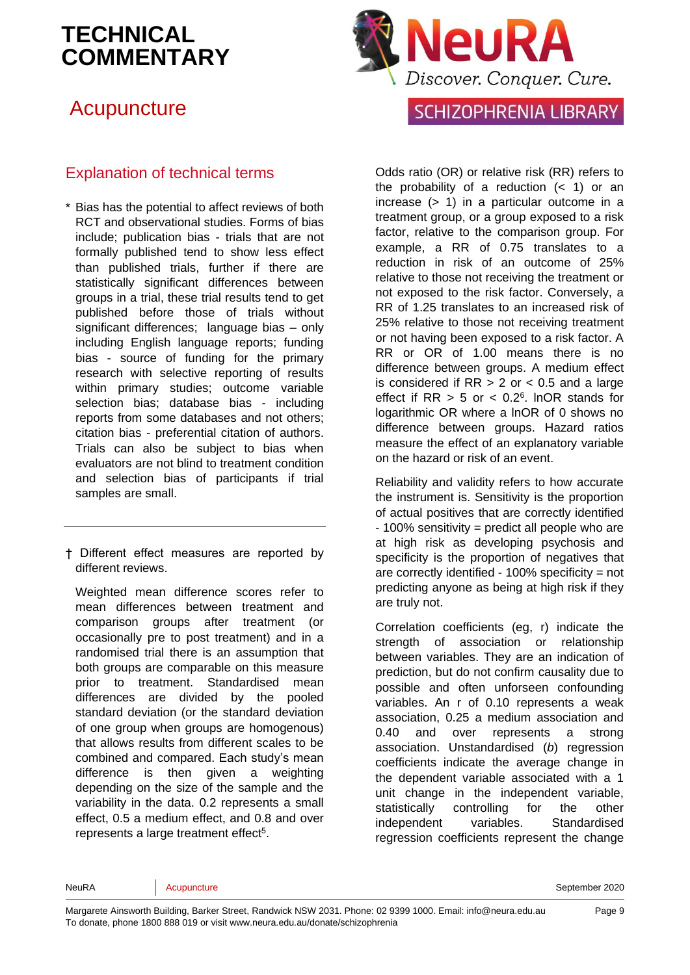## **Acupuncture**

#### Explanation of technical terms

- \* Bias has the potential to affect reviews of both RCT and observational studies. Forms of bias include; publication bias - trials that are not formally published tend to show less effect than published trials, further if there are statistically significant differences between groups in a trial, these trial results tend to get published before those of trials without significant differences; language bias – only including English language reports; funding bias - source of funding for the primary research with selective reporting of results within primary studies; outcome variable selection bias; database bias - including reports from some databases and not others; citation bias - preferential citation of authors. Trials can also be subject to bias when evaluators are not blind to treatment condition and selection bias of participants if trial samples are small.
- † Different effect measures are reported by different reviews.

Weighted mean difference scores refer to mean differences between treatment and comparison groups after treatment (or occasionally pre to post treatment) and in a randomised trial there is an assumption that both groups are comparable on this measure prior to treatment. Standardised mean differences are divided by the pooled standard deviation (or the standard deviation of one group when groups are homogenous) that allows results from different scales to be combined and compared. Each study's mean difference is then given a weighting depending on the size of the sample and the variability in the data. 0.2 represents a small effect, 0.5 a medium effect, and 0.8 and over represen[t](#page-10-4)s a large treatment effect<sup>5</sup>.



### **SCHIZOPHRENIA LIBRARY**

Odds ratio (OR) or relative risk (RR) refers to the probability of a reduction  $(< 1)$  or an increase (> 1) in a particular outcome in a treatment group, or a group exposed to a risk factor, relative to the comparison group. For example, a RR of 0.75 translates to a reduction in risk of an outcome of 25% relative to those not receiving the treatment or not exposed to the risk factor. Conversely, a RR of 1.25 translates to an increased risk of 25% relative to those not receiving treatment or not having been exposed to a risk factor. A RR or OR of 1.00 means there is no difference between groups. A medium effect is considered if  $RR > 2$  or  $< 0.5$  and a large effect if  $RR > 5$  or  $< 0.2<sup>6</sup>$  $< 0.2<sup>6</sup>$  $< 0.2<sup>6</sup>$ . InOR stands for logarithmic OR where a lnOR of 0 shows no difference between groups. Hazard ratios measure the effect of an explanatory variable on the hazard or risk of an event.

Reliability and validity refers to how accurate the instrument is. Sensitivity is the proportion of actual positives that are correctly identified - 100% sensitivity = predict all people who are at high risk as developing psychosis and specificity is the proportion of negatives that are correctly identified - 100% specificity = not predicting anyone as being at high risk if they are truly not.

Correlation coefficients (eg, r) indicate the strength of association or relationship between variables. They are an indication of prediction, but do not confirm causality due to possible and often unforseen confounding variables. An r of 0.10 represents a weak association, 0.25 a medium association and 0.40 and over represents a strong association. Unstandardised (*b*) regression coefficients indicate the average change in the dependent variable associated with a 1 unit change in the independent variable, statistically controlling for the other independent variables. Standardised regression coefficients represent the change

NeuRA **Acupuncture** Acupuncture September 2020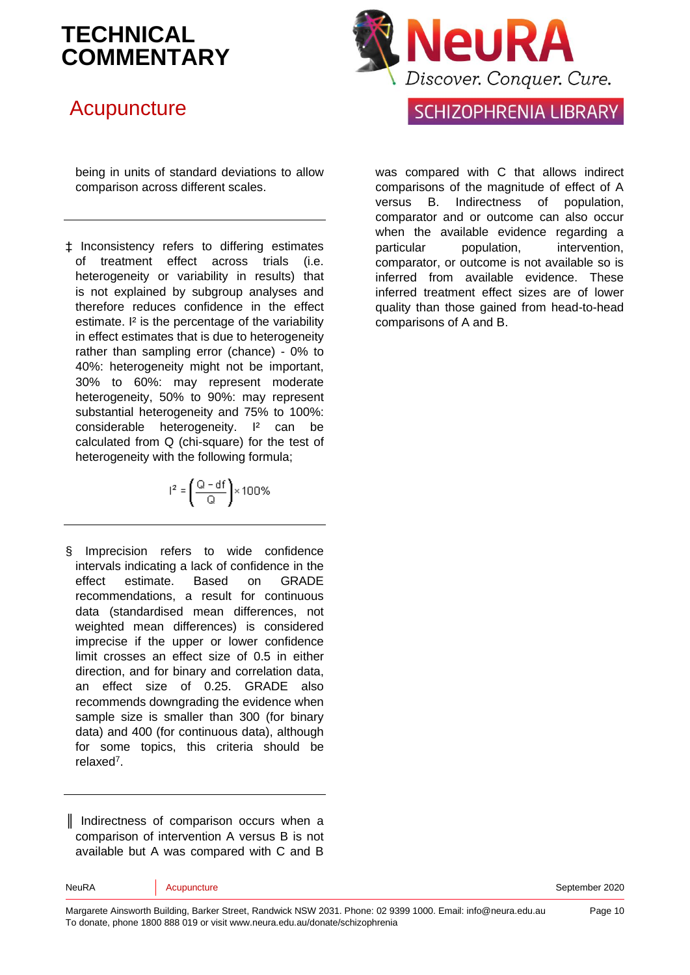## **Acupuncture**

being in units of standard deviations to allow comparison across different scales.

‡ Inconsistency refers to differing estimates of treatment effect across trials (i.e. heterogeneity or variability in results) that is not explained by subgroup analyses and therefore reduces confidence in the effect estimate. I² is the percentage of the variability in effect estimates that is due to heterogeneity rather than sampling error (chance) - 0% to 40%: heterogeneity might not be important, 30% to 60%: may represent moderate heterogeneity, 50% to 90%: may represent substantial heterogeneity and 75% to 100%: considerable heterogeneity. I² can be calculated from Q (chi-square) for the test of heterogeneity with the following formula;

$$
l^2=\left(\frac{Q-df}{Q}\right)\times 100\%
$$

§ Imprecision refers to wide confidence intervals indicating a lack of confidence in the effect estimate. Based on GRADE recommendations, a result for continuous data (standardised mean differences, not weighted mean differences) is considered imprecise if the upper or lower confidence limit crosses an effect size of 0.5 in either direction, and for binary and correlation data, an effect size of 0.25. GRADE also recommends downgrading the evidence when sample size is smaller than 300 (for binary data) and 400 (for continuous data), although for some topics, this criteria should be relaxe[d](#page-10-6)<sup>7</sup> .

║ Indirectness of comparison occurs when a comparison of intervention A versus B is not available but A was compared with C and B

### **SCHIZOPHRENIA LIBRARY**

was compared with C that allows indirect comparisons of the magnitude of effect of A versus B. Indirectness of population, comparator and or outcome can also occur when the available evidence regarding a particular population, intervention, comparator, or outcome is not available so is inferred from available evidence. These inferred treatment effect sizes are of lower quality than those gained from head-to-head comparisons of A and B.

Margarete Ainsworth Building, Barker Street, Randwick NSW 2031. Phone: 02 9399 1000. Email: info@neura.edu.au To donate, phone 1800 888 019 or visit www.neura.edu.au/donate/schizophrenia